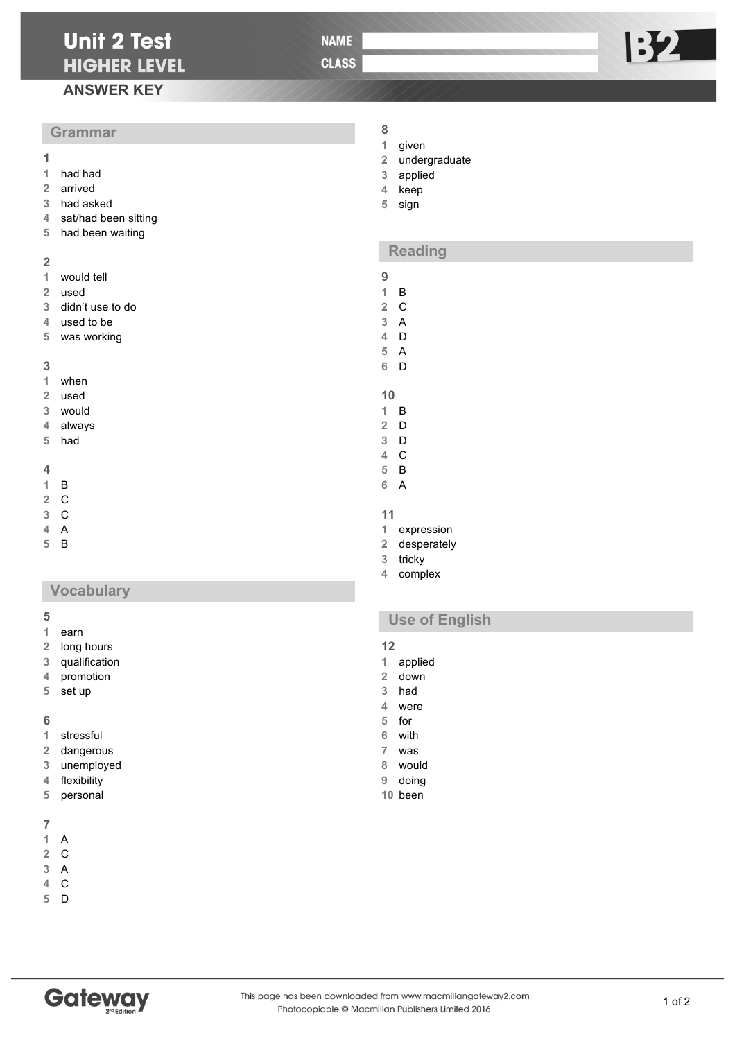**NAME** 

**CLASS** 

# **ANSWER KEY**

# **Grammar**

- **1 1** had had
- arrived
- had asked
- sat/had been sitting
- had been waiting

### 

- would tell
- used
- didn't use to do
- used to be
- was working

#### 

- when
- used
- would
- always
- had

### 

- B
- C
- C
- A
- B

# **Vocabulary**

- earn
- long hours
- qualification
- promotion
- set up

- stressful
- dangerous
- unemployed
- flexibility
- personal

# 

- A C
- A
- C
- D
- **Gateway**

# given

- 
- undergraduate
- applied
- keep
- sign

# **Reading**

- B
- C
- A
- D
- A
- D
- 
- B
- D
- D
- C
- B
- A
- 
- expression
- desperately
- tricky
- complex

# **Use of English**

- 
- 12<br>1 applied
- down
- had
- were
- for with
- was
- would
- doing
- been